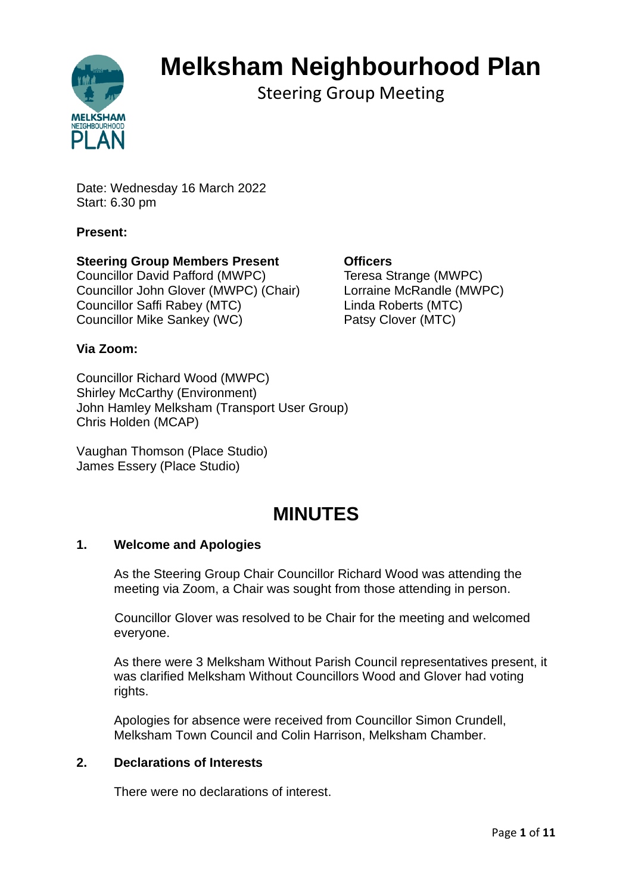

# **Melksham Neighbourhood Plan**

Steering Group Meeting

Date: Wednesday 16 March 2022 Start: 6.30 pm

# **Present:**

# **Steering Group Members Present Officers**

Councillor David Pafford (MWPC) Teresa Strange (MWPC) Councillor John Glover (MWPC) (Chair) Lorraine McRandle (MWPC) Councillor Saffi Rabey (MTC) Linda Roberts (MTC) Councillor Mike Sankey (WC) Patsy Clover (MTC)

# **Via Zoom:**

Councillor Richard Wood (MWPC) Shirley McCarthy (Environment) John Hamley Melksham (Transport User Group) Chris Holden (MCAP)

Vaughan Thomson (Place Studio) James Essery (Place Studio)

# **MINUTES**

#### **1. Welcome and Apologies**

As the Steering Group Chair Councillor Richard Wood was attending the meeting via Zoom, a Chair was sought from those attending in person.

Councillor Glover was resolved to be Chair for the meeting and welcomed everyone.

As there were 3 Melksham Without Parish Council representatives present, it was clarified Melksham Without Councillors Wood and Glover had voting rights.

Apologies for absence were received from Councillor Simon Crundell, Melksham Town Council and Colin Harrison, Melksham Chamber.

#### **2. Declarations of Interests**

There were no declarations of interest.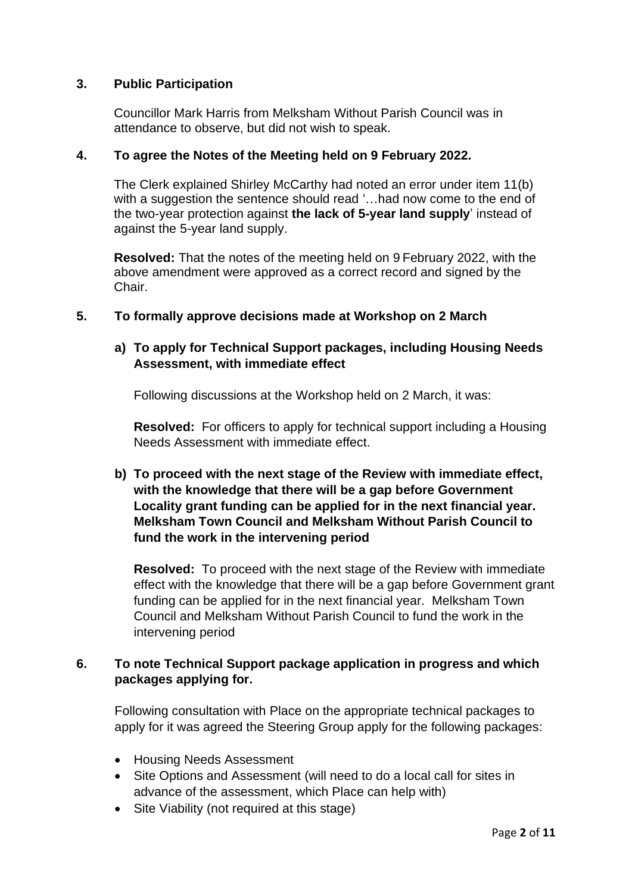#### **3. Public Participation**

Councillor Mark Harris from Melksham Without Parish Council was in attendance to observe, but did not wish to speak.

#### **4. To agree the Notes of the Meeting held on 9 February 2022.**

The Clerk explained Shirley McCarthy had noted an error under item 11(b) with a suggestion the sentence should read '…had now come to the end of the two-year protection against **the lack of 5-year land supply**' instead of against the 5-year land supply.

**Resolved:** That the notes of the meeting held on 9 February 2022, with the above amendment were approved as a correct record and signed by the Chair.

# **5. To formally approve decisions made at Workshop on 2 March**

# **a) To apply for Technical Support packages, including Housing Needs Assessment, with immediate effect**

Following discussions at the Workshop held on 2 March, it was:

**Resolved:** For officers to apply for technical support including a Housing Needs Assessment with immediate effect.

# **b) To proceed with the next stage of the Review with immediate effect, with the knowledge that there will be a gap before Government Locality grant funding can be applied for in the next financial year. Melksham Town Council and Melksham Without Parish Council to fund the work in the intervening period**

**Resolved:** To proceed with the next stage of the Review with immediate effect with the knowledge that there will be a gap before Government grant funding can be applied for in the next financial year. Melksham Town Council and Melksham Without Parish Council to fund the work in the intervening period

# **6. To note Technical Support package application in progress and which packages applying for.**

Following consultation with Place on the appropriate technical packages to apply for it was agreed the Steering Group apply for the following packages:

- Housing Needs Assessment
- Site Options and Assessment (will need to do a local call for sites in advance of the assessment, which Place can help with)
- Site Viability (not required at this stage)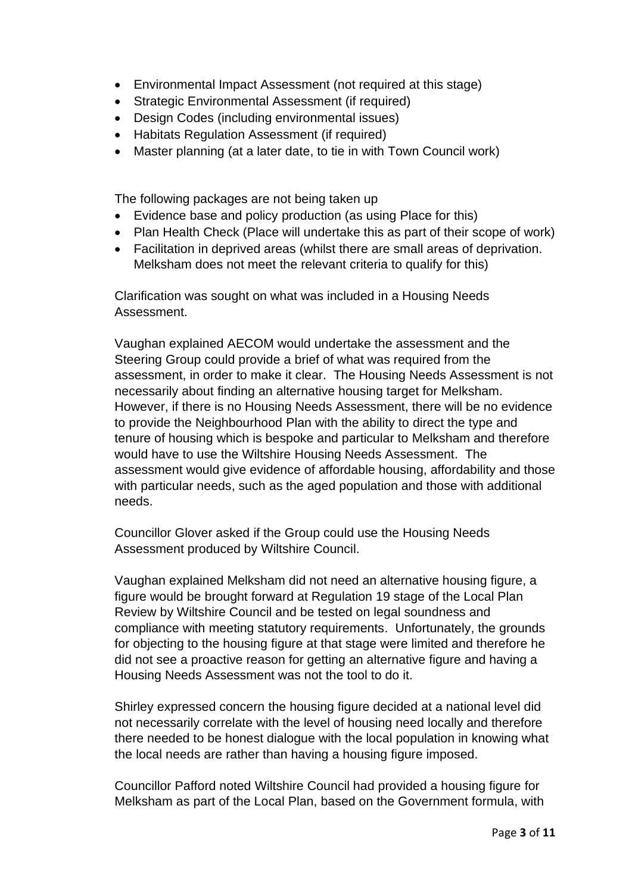- Environmental Impact Assessment (not required at this stage)
- Strategic Environmental Assessment (if required)
- Design Codes (including environmental issues)
- Habitats Regulation Assessment (if required)
- Master planning (at a later date, to tie in with Town Council work)

The following packages are not being taken up

- Evidence base and policy production (as using Place for this)
- Plan Health Check (Place will undertake this as part of their scope of work)
- Facilitation in deprived areas (whilst there are small areas of deprivation. Melksham does not meet the relevant criteria to qualify for this)

Clarification was sought on what was included in a Housing Needs Assessment.

Vaughan explained AECOM would undertake the assessment and the Steering Group could provide a brief of what was required from the assessment, in order to make it clear. The Housing Needs Assessment is not necessarily about finding an alternative housing target for Melksham. However, if there is no Housing Needs Assessment, there will be no evidence to provide the Neighbourhood Plan with the ability to direct the type and tenure of housing which is bespoke and particular to Melksham and therefore would have to use the Wiltshire Housing Needs Assessment. The assessment would give evidence of affordable housing, affordability and those with particular needs, such as the aged population and those with additional needs.

Councillor Glover asked if the Group could use the Housing Needs Assessment produced by Wiltshire Council.

Vaughan explained Melksham did not need an alternative housing figure, a figure would be brought forward at Regulation 19 stage of the Local Plan Review by Wiltshire Council and be tested on legal soundness and compliance with meeting statutory requirements. Unfortunately, the grounds for objecting to the housing figure at that stage were limited and therefore he did not see a proactive reason for getting an alternative figure and having a Housing Needs Assessment was not the tool to do it.

Shirley expressed concern the housing figure decided at a national level did not necessarily correlate with the level of housing need locally and therefore there needed to be honest dialogue with the local population in knowing what the local needs are rather than having a housing figure imposed.

Councillor Pafford noted Wiltshire Council had provided a housing figure for Melksham as part of the Local Plan, based on the Government formula, with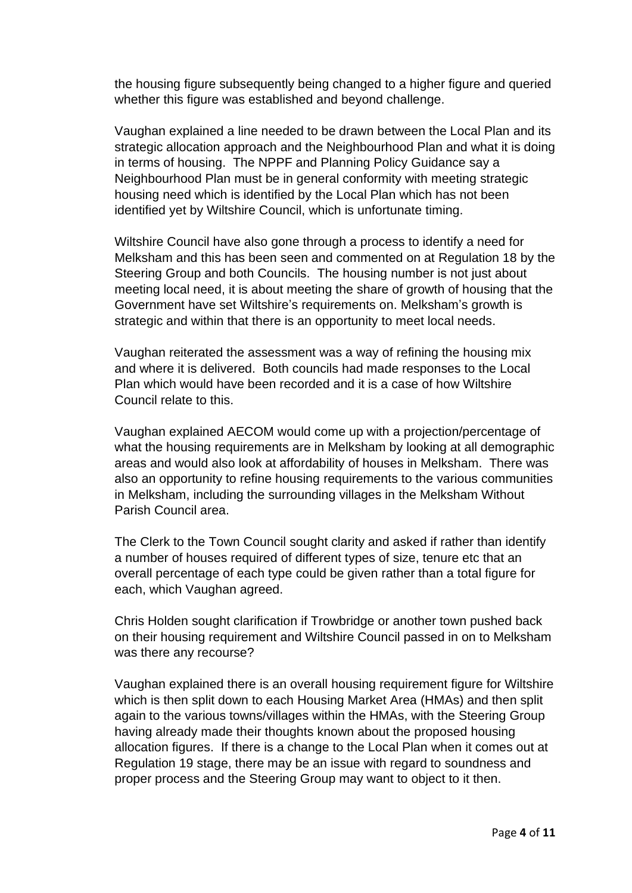the housing figure subsequently being changed to a higher figure and queried whether this figure was established and beyond challenge.

Vaughan explained a line needed to be drawn between the Local Plan and its strategic allocation approach and the Neighbourhood Plan and what it is doing in terms of housing. The NPPF and Planning Policy Guidance say a Neighbourhood Plan must be in general conformity with meeting strategic housing need which is identified by the Local Plan which has not been identified yet by Wiltshire Council, which is unfortunate timing.

Wiltshire Council have also gone through a process to identify a need for Melksham and this has been seen and commented on at Regulation 18 by the Steering Group and both Councils. The housing number is not just about meeting local need, it is about meeting the share of growth of housing that the Government have set Wiltshire's requirements on. Melksham's growth is strategic and within that there is an opportunity to meet local needs.

Vaughan reiterated the assessment was a way of refining the housing mix and where it is delivered. Both councils had made responses to the Local Plan which would have been recorded and it is a case of how Wiltshire Council relate to this.

Vaughan explained AECOM would come up with a projection/percentage of what the housing requirements are in Melksham by looking at all demographic areas and would also look at affordability of houses in Melksham. There was also an opportunity to refine housing requirements to the various communities in Melksham, including the surrounding villages in the Melksham Without Parish Council area.

The Clerk to the Town Council sought clarity and asked if rather than identify a number of houses required of different types of size, tenure etc that an overall percentage of each type could be given rather than a total figure for each, which Vaughan agreed.

Chris Holden sought clarification if Trowbridge or another town pushed back on their housing requirement and Wiltshire Council passed in on to Melksham was there any recourse?

Vaughan explained there is an overall housing requirement figure for Wiltshire which is then split down to each Housing Market Area (HMAs) and then split again to the various towns/villages within the HMAs, with the Steering Group having already made their thoughts known about the proposed housing allocation figures. If there is a change to the Local Plan when it comes out at Regulation 19 stage, there may be an issue with regard to soundness and proper process and the Steering Group may want to object to it then.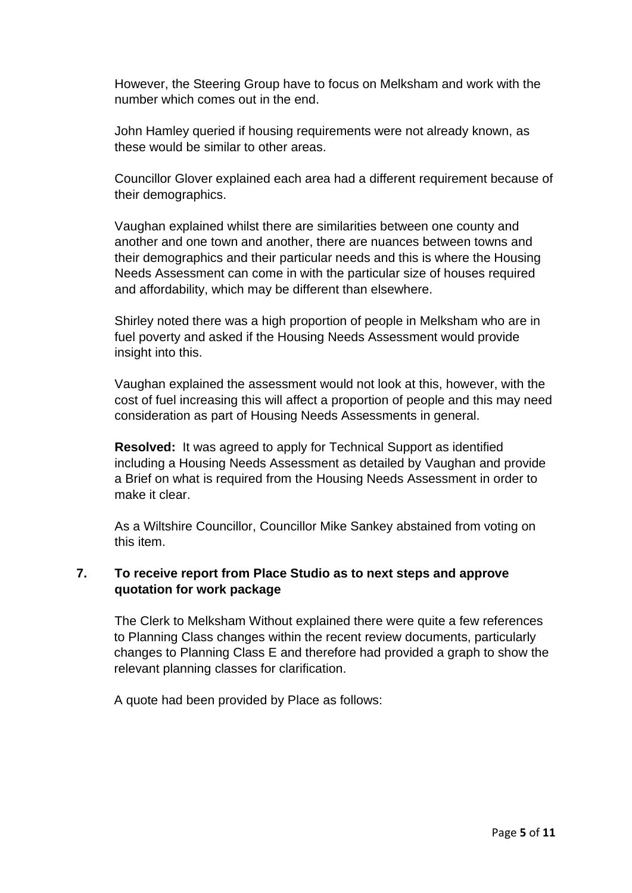However, the Steering Group have to focus on Melksham and work with the number which comes out in the end.

John Hamley queried if housing requirements were not already known, as these would be similar to other areas.

Councillor Glover explained each area had a different requirement because of their demographics.

Vaughan explained whilst there are similarities between one county and another and one town and another, there are nuances between towns and their demographics and their particular needs and this is where the Housing Needs Assessment can come in with the particular size of houses required and affordability, which may be different than elsewhere.

Shirley noted there was a high proportion of people in Melksham who are in fuel poverty and asked if the Housing Needs Assessment would provide insight into this.

Vaughan explained the assessment would not look at this, however, with the cost of fuel increasing this will affect a proportion of people and this may need consideration as part of Housing Needs Assessments in general.

**Resolved:** It was agreed to apply for Technical Support as identified including a Housing Needs Assessment as detailed by Vaughan and provide a Brief on what is required from the Housing Needs Assessment in order to make it clear.

As a Wiltshire Councillor, Councillor Mike Sankey abstained from voting on this item.

# **7. To receive report from Place Studio as to next steps and approve quotation for work package**

The Clerk to Melksham Without explained there were quite a few references to Planning Class changes within the recent review documents, particularly changes to Planning Class E and therefore had provided a graph to show the relevant planning classes for clarification.

A quote had been provided by Place as follows: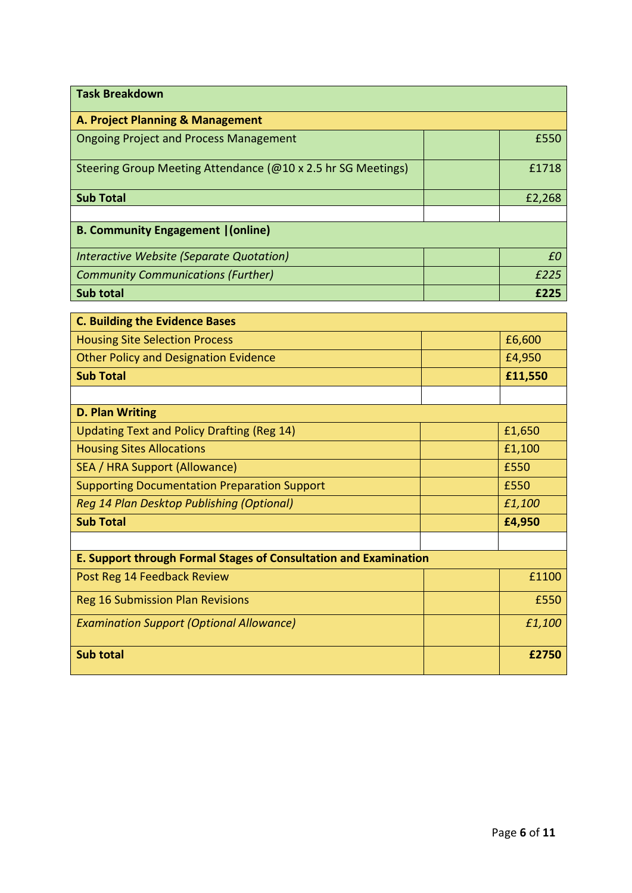| <b>Task Breakdown</b>                                            |         |  |  |
|------------------------------------------------------------------|---------|--|--|
| A. Project Planning & Management                                 |         |  |  |
| <b>Ongoing Project and Process Management</b>                    | £550    |  |  |
| Steering Group Meeting Attendance (@10 x 2.5 hr SG Meetings)     | £1718   |  |  |
| <b>Sub Total</b>                                                 | £2,268  |  |  |
|                                                                  |         |  |  |
| <b>B. Community Engagement   (online)</b>                        |         |  |  |
| Interactive Website (Separate Quotation)                         | £0      |  |  |
| <b>Community Communications (Further)</b>                        | £225    |  |  |
| <b>Sub total</b>                                                 | £225    |  |  |
| <b>C. Building the Evidence Bases</b>                            |         |  |  |
| <b>Housing Site Selection Process</b>                            | £6,600  |  |  |
| <b>Other Policy and Designation Evidence</b>                     | £4,950  |  |  |
| <b>Sub Total</b>                                                 | £11,550 |  |  |
|                                                                  |         |  |  |
| <b>D. Plan Writing</b>                                           |         |  |  |
| <b>Updating Text and Policy Drafting (Reg 14)</b>                | £1,650  |  |  |
| <b>Housing Sites Allocations</b>                                 | £1,100  |  |  |
| SEA / HRA Support (Allowance)                                    | £550    |  |  |
| <b>Supporting Documentation Preparation Support</b>              | £550    |  |  |
| Reg 14 Plan Desktop Publishing (Optional)                        | £1,100  |  |  |
| <b>Sub Total</b>                                                 | £4,950  |  |  |
|                                                                  |         |  |  |
| E. Support through Formal Stages of Consultation and Examination |         |  |  |
| Post Reg 14 Feedback Review                                      | £1100   |  |  |
| <b>Reg 16 Submission Plan Revisions</b>                          | £550    |  |  |
| <b>Examination Support (Optional Allowance)</b>                  | £1,100  |  |  |
| Sub total                                                        | £2750   |  |  |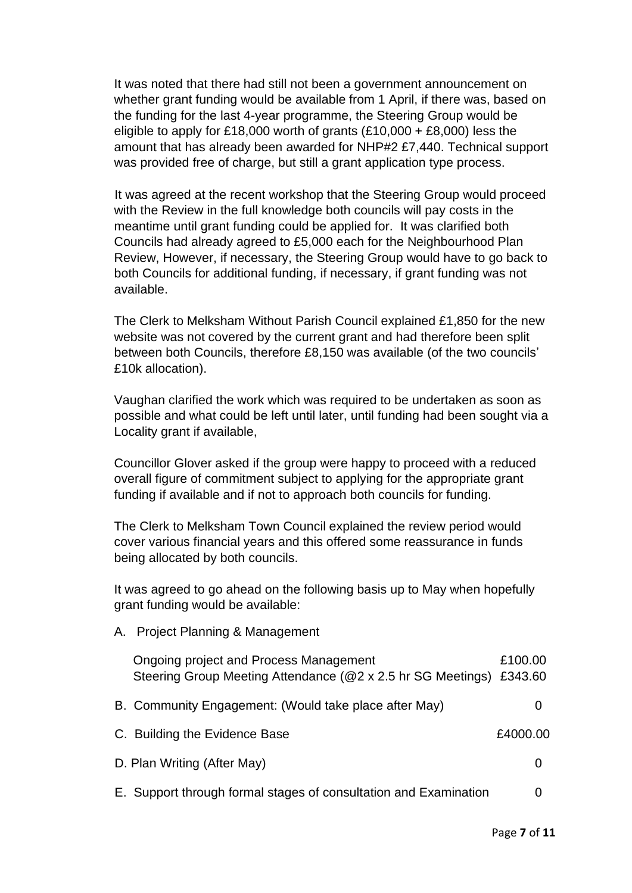It was noted that there had still not been a government announcement on whether grant funding would be available from 1 April, if there was, based on the funding for the last 4-year programme, the Steering Group would be eligible to apply for £18,000 worth of grants  $(E10,000 + E8,000)$  less the amount that has already been awarded for NHP#2 £7,440. Technical support was provided free of charge, but still a grant application type process.

It was agreed at the recent workshop that the Steering Group would proceed with the Review in the full knowledge both councils will pay costs in the meantime until grant funding could be applied for. It was clarified both Councils had already agreed to £5,000 each for the Neighbourhood Plan Review, However, if necessary, the Steering Group would have to go back to both Councils for additional funding, if necessary, if grant funding was not available.

The Clerk to Melksham Without Parish Council explained £1,850 for the new website was not covered by the current grant and had therefore been split between both Councils, therefore £8,150 was available (of the two councils' £10k allocation).

Vaughan clarified the work which was required to be undertaken as soon as possible and what could be left until later, until funding had been sought via a Locality grant if available,

Councillor Glover asked if the group were happy to proceed with a reduced overall figure of commitment subject to applying for the appropriate grant funding if available and if not to approach both councils for funding.

The Clerk to Melksham Town Council explained the review period would cover various financial years and this offered some reassurance in funds being allocated by both councils.

It was agreed to go ahead on the following basis up to May when hopefully grant funding would be available:

A. Project Planning & Management

| Ongoing project and Process Management<br>Steering Group Meeting Attendance (@2 x 2.5 hr SG Meetings) £343.60 | £100.00  |
|---------------------------------------------------------------------------------------------------------------|----------|
| B. Community Engagement: (Would take place after May)                                                         |          |
| C. Building the Evidence Base                                                                                 | £4000.00 |
| D. Plan Writing (After May)                                                                                   |          |
| E. Support through formal stages of consultation and Examination                                              |          |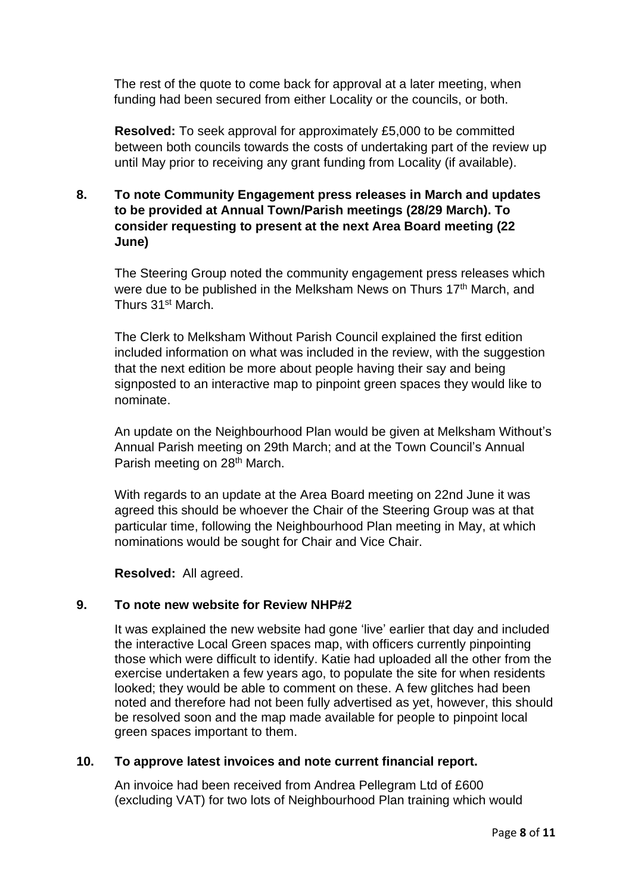The rest of the quote to come back for approval at a later meeting, when funding had been secured from either Locality or the councils, or both.

**Resolved:** To seek approval for approximately £5,000 to be committed between both councils towards the costs of undertaking part of the review up until May prior to receiving any grant funding from Locality (if available).

# **8. To note Community Engagement press releases in March and updates to be provided at Annual Town/Parish meetings (28/29 March). To consider requesting to present at the next Area Board meeting (22 June)**

The Steering Group noted the community engagement press releases which were due to be published in the Melksham News on Thurs 17<sup>th</sup> March, and Thurs 31st March.

The Clerk to Melksham Without Parish Council explained the first edition included information on what was included in the review, with the suggestion that the next edition be more about people having their say and being signposted to an interactive map to pinpoint green spaces they would like to nominate.

An update on the Neighbourhood Plan would be given at Melksham Without's Annual Parish meeting on 29th March; and at the Town Council's Annual Parish meeting on 28<sup>th</sup> March.

With regards to an update at the Area Board meeting on 22nd June it was agreed this should be whoever the Chair of the Steering Group was at that particular time, following the Neighbourhood Plan meeting in May, at which nominations would be sought for Chair and Vice Chair.

**Resolved:** All agreed.

#### **9. To note new website for Review NHP#2**

It was explained the new website had gone 'live' earlier that day and included the interactive Local Green spaces map, with officers currently pinpointing those which were difficult to identify. Katie had uploaded all the other from the exercise undertaken a few years ago, to populate the site for when residents looked; they would be able to comment on these. A few glitches had been noted and therefore had not been fully advertised as yet, however, this should be resolved soon and the map made available for people to pinpoint local green spaces important to them.

#### **10. To approve latest invoices and note current financial report.**

An invoice had been received from Andrea Pellegram Ltd of £600 (excluding VAT) for two lots of Neighbourhood Plan training which would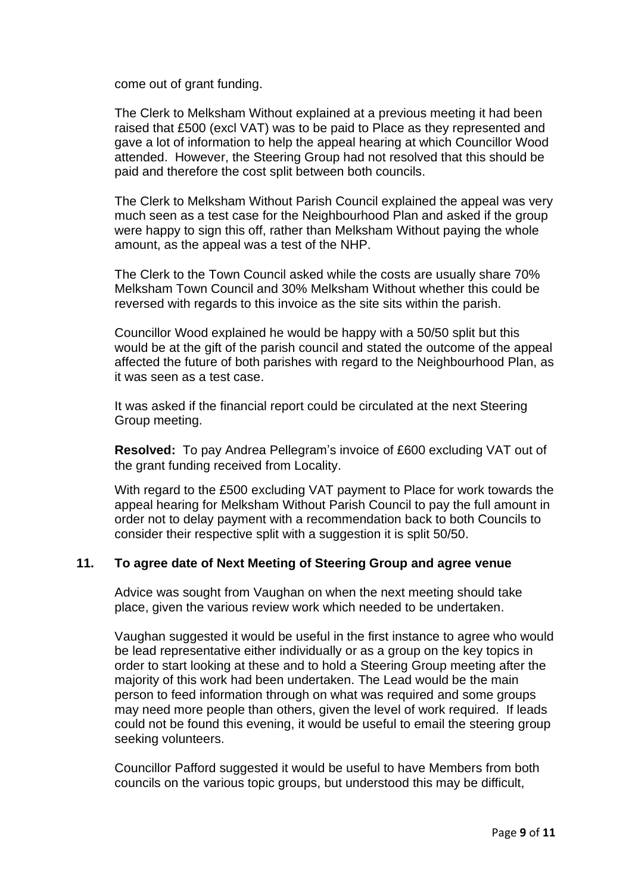come out of grant funding.

The Clerk to Melksham Without explained at a previous meeting it had been raised that £500 (excl VAT) was to be paid to Place as they represented and gave a lot of information to help the appeal hearing at which Councillor Wood attended. However, the Steering Group had not resolved that this should be paid and therefore the cost split between both councils.

The Clerk to Melksham Without Parish Council explained the appeal was very much seen as a test case for the Neighbourhood Plan and asked if the group were happy to sign this off, rather than Melksham Without paying the whole amount, as the appeal was a test of the NHP.

The Clerk to the Town Council asked while the costs are usually share 70% Melksham Town Council and 30% Melksham Without whether this could be reversed with regards to this invoice as the site sits within the parish.

Councillor Wood explained he would be happy with a 50/50 split but this would be at the gift of the parish council and stated the outcome of the appeal affected the future of both parishes with regard to the Neighbourhood Plan, as it was seen as a test case.

It was asked if the financial report could be circulated at the next Steering Group meeting.

**Resolved:** To pay Andrea Pellegram's invoice of £600 excluding VAT out of the grant funding received from Locality.

With regard to the £500 excluding VAT payment to Place for work towards the appeal hearing for Melksham Without Parish Council to pay the full amount in order not to delay payment with a recommendation back to both Councils to consider their respective split with a suggestion it is split 50/50.

#### **11. To agree date of Next Meeting of Steering Group and agree venue**

Advice was sought from Vaughan on when the next meeting should take place, given the various review work which needed to be undertaken.

Vaughan suggested it would be useful in the first instance to agree who would be lead representative either individually or as a group on the key topics in order to start looking at these and to hold a Steering Group meeting after the majority of this work had been undertaken. The Lead would be the main person to feed information through on what was required and some groups may need more people than others, given the level of work required. If leads could not be found this evening, it would be useful to email the steering group seeking volunteers.

Councillor Pafford suggested it would be useful to have Members from both councils on the various topic groups, but understood this may be difficult,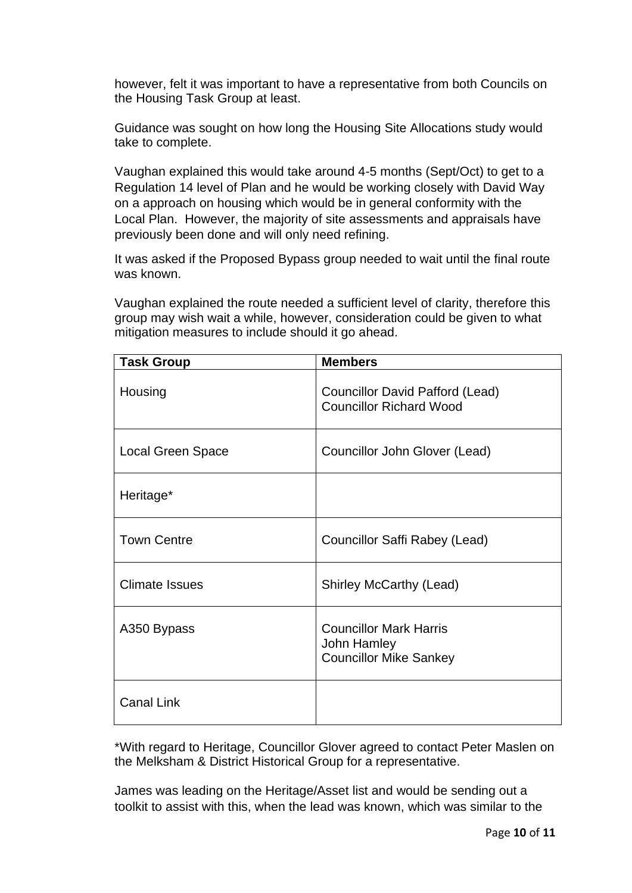however, felt it was important to have a representative from both Councils on the Housing Task Group at least.

Guidance was sought on how long the Housing Site Allocations study would take to complete.

Vaughan explained this would take around 4-5 months (Sept/Oct) to get to a Regulation 14 level of Plan and he would be working closely with David Way on a approach on housing which would be in general conformity with the Local Plan. However, the majority of site assessments and appraisals have previously been done and will only need refining.

It was asked if the Proposed Bypass group needed to wait until the final route was known.

Vaughan explained the route needed a sufficient level of clarity, therefore this group may wish wait a while, however, consideration could be given to what mitigation measures to include should it go ahead.

| <b>Task Group</b>     | <b>Members</b>                                                                |
|-----------------------|-------------------------------------------------------------------------------|
| Housing               | <b>Councillor David Pafford (Lead)</b><br><b>Councillor Richard Wood</b>      |
| Local Green Space     | Councillor John Glover (Lead)                                                 |
| Heritage*             |                                                                               |
| <b>Town Centre</b>    | Councillor Saffi Rabey (Lead)                                                 |
| <b>Climate Issues</b> | <b>Shirley McCarthy (Lead)</b>                                                |
| A350 Bypass           | <b>Councillor Mark Harris</b><br>John Hamley<br><b>Councillor Mike Sankey</b> |
| <b>Canal Link</b>     |                                                                               |

\*With regard to Heritage, Councillor Glover agreed to contact Peter Maslen on the Melksham & District Historical Group for a representative.

James was leading on the Heritage/Asset list and would be sending out a toolkit to assist with this, when the lead was known, which was similar to the